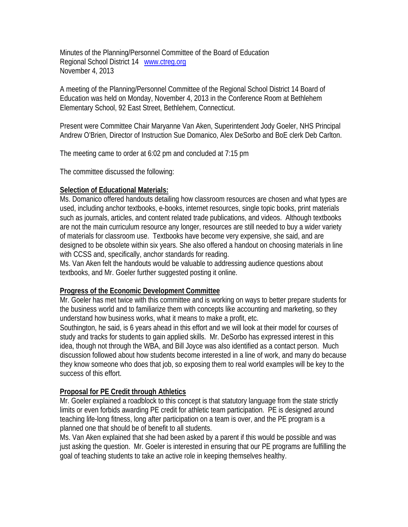Minutes of the Planning/Personnel Committee of the Board of Education Regional School District 14 www.ctreg.org November 4, 2013

A meeting of the Planning/Personnel Committee of the Regional School District 14 Board of Education was held on Monday, November 4, 2013 in the Conference Room at Bethlehem Elementary School, 92 East Street, Bethlehem, Connecticut.

Present were Committee Chair Maryanne Van Aken, Superintendent Jody Goeler, NHS Principal Andrew O'Brien, Director of Instruction Sue Domanico, Alex DeSorbo and BoE clerk Deb Carlton.

The meeting came to order at 6:02 pm and concluded at 7:15 pm

The committee discussed the following:

## **Selection of Educational Materials:**

Ms. Domanico offered handouts detailing how classroom resources are chosen and what types are used, including anchor textbooks, e-books, internet resources, single topic books, print materials such as journals, articles, and content related trade publications, and videos. Although textbooks are not the main curriculum resource any longer, resources are still needed to buy a wider variety of materials for classroom use. Textbooks have become very expensive, she said, and are designed to be obsolete within six years. She also offered a handout on choosing materials in line with CCSS and, specifically, anchor standards for reading.

Ms. Van Aken felt the handouts would be valuable to addressing audience questions about textbooks, and Mr. Goeler further suggested posting it online.

## **Progress of the Economic Development Committee**

Mr. Goeler has met twice with this committee and is working on ways to better prepare students for the business world and to familiarize them with concepts like accounting and marketing, so they understand how business works, what it means to make a profit, etc.

Southington, he said, is 6 years ahead in this effort and we will look at their model for courses of study and tracks for students to gain applied skills. Mr. DeSorbo has expressed interest in this idea, though not through the WBA, and Bill Joyce was also identified as a contact person. Much discussion followed about how students become interested in a line of work, and many do because they know someone who does that job, so exposing them to real world examples will be key to the success of this effort.

## **Proposal for PE Credit through Athletics**

Mr. Goeler explained a roadblock to this concept is that statutory language from the state strictly limits or even forbids awarding PE credit for athletic team participation. PE is designed around teaching life-long fitness, long after participation on a team is over, and the PE program is a planned one that should be of benefit to all students.

Ms. Van Aken explained that she had been asked by a parent if this would be possible and was just asking the question. Mr. Goeler is interested in ensuring that our PE programs are fulfilling the goal of teaching students to take an active role in keeping themselves healthy.